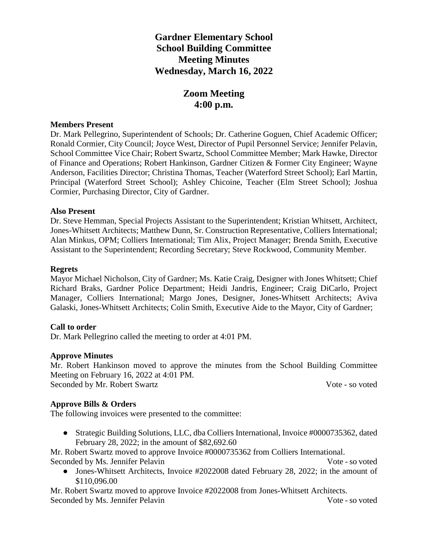# **Gardner Elementary School School Building Committee Meeting Minutes Wednesday, March 16, 2022**

# **Zoom Meeting 4:00 p.m.**

#### **Members Present**

Dr. Mark Pellegrino, Superintendent of Schools; Dr. Catherine Goguen, Chief Academic Officer; Ronald Cormier, City Council; Joyce West, Director of Pupil Personnel Service; Jennifer Pelavin, School Committee Vice Chair; Robert Swartz, School Committee Member; Mark Hawke, Director of Finance and Operations; Robert Hankinson, Gardner Citizen & Former City Engineer; Wayne Anderson, Facilities Director; Christina Thomas, Teacher (Waterford Street School); Earl Martin, Principal (Waterford Street School); Ashley Chicoine, Teacher (Elm Street School); Joshua Cormier, Purchasing Director, City of Gardner.

## **Also Present**

Dr. Steve Hemman, Special Projects Assistant to the Superintendent; Kristian Whitsett, Architect, Jones-Whitsett Architects; Matthew Dunn, Sr. Construction Representative, Colliers International; Alan Minkus, OPM; Colliers International; Tim Alix, Project Manager; Brenda Smith, Executive Assistant to the Superintendent; Recording Secretary; Steve Rockwood, Community Member.

#### **Regrets**

Mayor Michael Nicholson, City of Gardner; Ms. Katie Craig, Designer with Jones Whitsett; Chief Richard Braks, Gardner Police Department; Heidi Jandris, Engineer; Craig DiCarlo, Project Manager, Colliers International; Margo Jones, Designer, Jones-Whitsett Architects; Aviva Galaski, Jones-Whitsett Architects; Colin Smith, Executive Aide to the Mayor, City of Gardner;

## **Call to order**

Dr. Mark Pellegrino called the meeting to order at 4:01 PM.

## **Approve Minutes**

Mr. Robert Hankinson moved to approve the minutes from the School Building Committee Meeting on February 16, 2022 at 4:01 PM.

Seconded by Mr. Robert Swartz Vote - so voted

## **Approve Bills & Orders**

The following invoices were presented to the committee:

• Strategic Building Solutions, LLC, dba Colliers International, Invoice #0000735362, dated February 28, 2022; in the amount of \$82,692.60

Mr. Robert Swartz moved to approve Invoice #0000735362 from Colliers International. Seconded by Ms. Jennifer Pelavin Vote - so voted

• Jones-Whitsett Architects, Invoice #2022008 dated February 28, 2022; in the amount of \$110,096.00

Mr. Robert Swartz moved to approve Invoice #2022008 from Jones-Whitsett Architects. Seconded by Ms. Jennifer Pelavin Vote - so voted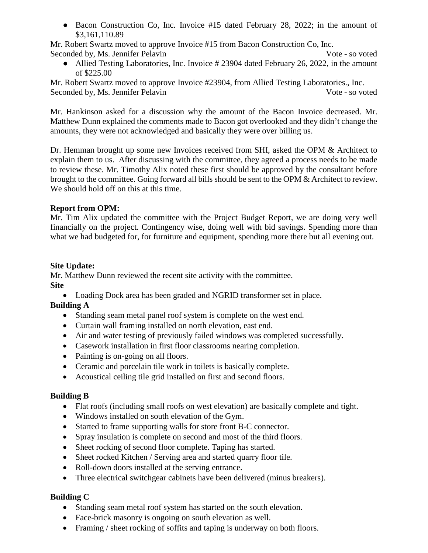● Bacon Construction Co, Inc. Invoice #15 dated February 28, 2022; in the amount of \$3,161,110.89

Mr. Robert Swartz moved to approve Invoice #15 from Bacon Construction Co, Inc. Seconded by, Ms. Jennifer Pelavin Vote - so voted

• Allied Testing Laboratories, Inc. Invoice # 23904 dated February 26, 2022, in the amount of \$225.00

Mr. Robert Swartz moved to approve Invoice #23904, from Allied Testing Laboratories., Inc. Seconded by, Ms. Jennifer Pelavin Vote - so voted

Mr. Hankinson asked for a discussion why the amount of the Bacon Invoice decreased. Mr. Matthew Dunn explained the comments made to Bacon got overlooked and they didn't change the amounts, they were not acknowledged and basically they were over billing us.

Dr. Hemman brought up some new Invoices received from SHI, asked the OPM & Architect to explain them to us. After discussing with the committee, they agreed a process needs to be made to review these. Mr. Timothy Alix noted these first should be approved by the consultant before brought to the committee. Going forward all bills should be sent to the OPM & Architect to review. We should hold off on this at this time.

# **Report from OPM:**

Mr. Tim Alix updated the committee with the Project Budget Report, we are doing very well financially on the project. Contingency wise, doing well with bid savings. Spending more than what we had budgeted for, for furniture and equipment, spending more there but all evening out.

## **Site Update:**

Mr. Matthew Dunn reviewed the recent site activity with the committee. **Site**

• Loading Dock area has been graded and NGRID transformer set in place.

# **Building A**

- Standing seam metal panel roof system is complete on the west end.
- Curtain wall framing installed on north elevation, east end.
- Air and water testing of previously failed windows was completed successfully.
- Casework installation in first floor classrooms nearing completion.
- Painting is on-going on all floors.
- Ceramic and porcelain tile work in toilets is basically complete.
- Acoustical ceiling tile grid installed on first and second floors.

# **Building B**

- Flat roofs (including small roofs on west elevation) are basically complete and tight.
- Windows installed on south elevation of the Gym.
- Started to frame supporting walls for store front B-C connector.
- Spray insulation is complete on second and most of the third floors.
- Sheet rocking of second floor complete. Taping has started.
- Sheet rocked Kitchen / Serving area and started quarry floor tile.
- Roll-down doors installed at the serving entrance.
- Three electrical switchgear cabinets have been delivered (minus breakers).

# **Building C**

- Standing seam metal roof system has started on the south elevation.
- Face-brick masonry is ongoing on south elevation as well.
- Framing / sheet rocking of soffits and taping is underway on both floors.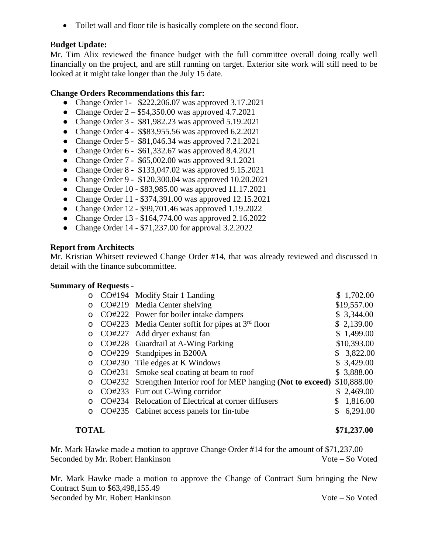• Toilet wall and floor tile is basically complete on the second floor.

# B**udget Update:**

Mr. Tim Alix reviewed the finance budget with the full committee overall doing really well financially on the project, and are still running on target. Exterior site work will still need to be looked at it might take longer than the July 15 date.

## **Change Orders Recommendations this far:**

- Change Order 1- \$222,206.07 was approved 3.17.2021
- Change Order  $2 $54,350.00$  was approved 4.7.2021
- Change Order 3 \$81,982.23 was approved 5.19.2021
- Change Order 4 \$\$83,955.56 was approved 6.2.2021
- Change Order 5 \$81,046.34 was approved 7.21.2021
- Change Order  $6 $61,332.67$  was approved  $8.4.2021$
- Change Order 7 \$65,002.00 was approved 9.1.2021
- Change Order 8 \$133,047.02 was approved 9.15.2021
- Change Order 9 \$120,300.04 was approved 10.20.2021
- Change Order 10 \$83,985.00 was approved 11.17.2021
- Change Order 11 \$374,391.00 was approved 12.15.2021
- Change Order 12 \$99,701.46 was approved 1.19.2022
- Change Order 13 \$164,774.00 was approved 2.16.2022
- Change Order 14 \$71,237.00 for approval 3.2.2022

# **Report from Architects**

Mr. Kristian Whitsett reviewed Change Order #14, that was already reviewed and discussed in detail with the finance subcommittee.

# **Summary of Requests** -

| $\circ$ |        | CO#194 Modify Stair 1 Landing                            | \$1,702.00  |
|---------|--------|----------------------------------------------------------|-------------|
| $\circ$ |        | CO#219 Media Center shelving                             | \$19,557.00 |
| $\circ$ |        | CO#222 Power for boiler intake dampers                   | \$3,344.00  |
| O       |        | $CO#223$ Media Center soffit for pipes at $3rd$ floor    | \$2,139.00  |
| $\circ$ |        | CO#227 Add dryer exhaust fan                             | \$1,499.00  |
| $\circ$ |        | CO#228 Guardrail at A-Wing Parking                       | \$10,393.00 |
| $\circ$ |        | CO#229 Standpipes in B200A                               | \$3,822.00  |
| O       |        | CO#230 Tile edges at K Windows                           | \$3,429.00  |
| $\circ$ |        | CO#231 Smoke seal coating at beam to roof                | \$3,888.00  |
| $\circ$ | CO#232 | Strengthen Interior roof for MEP hanging (Not to exceed) | \$10,888.00 |
| $\circ$ |        | CO#233 Furr out C-Wing corridor                          | \$2,469.00  |
|         |        | CO#234 Relocation of Electrical at corner diffusers      | 1,816.00    |
|         |        | CO#235 Cabinet access panels for fin-tube                | 6,291.00    |
|         |        |                                                          |             |

## **TOTAL \$71,237.00**

Mr. Mark Hawke made a motion to approve Change Order #14 for the amount of \$71,237.00 Seconded by Mr. Robert Hankinson Vote – So Voted

Mr. Mark Hawke made a motion to approve the Change of Contract Sum bringing the New Contract Sum to \$63,498,155.49 Seconded by Mr. Robert Hankinson Vote – So Voted